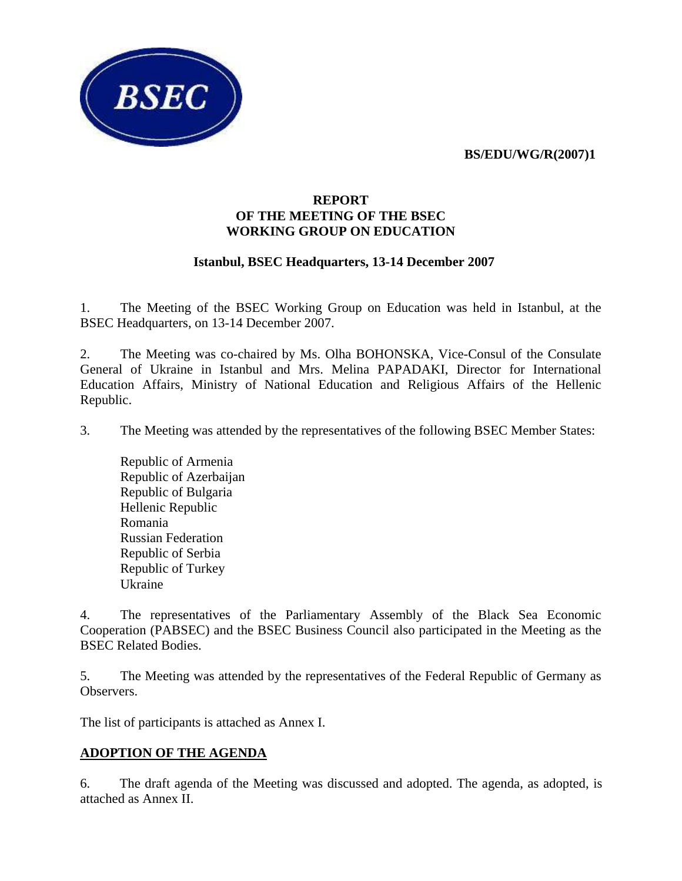**BS/EDU/WG/R(2007)1** 



#### **REPORT OF THE MEETING OF THE BSEC WORKING GROUP ON EDUCATION**

#### **Istanbul, BSEC Headquarters, 13-14 December 2007**

1. The Meeting of the BSEC Working Group on Education was held in Istanbul, at the BSEC Headquarters, on 13-14 December 2007.

2. The Meeting was co-chaired by Ms. Olha BOHONSKA, Vice-Consul of the Consulate General of Ukraine in Istanbul and Mrs. Melina PAPADAKI, Director for International Education Affairs, Ministry of National Education and Religious Affairs of the Hellenic Republic.

3. The Meeting was attended by the representatives of the following BSEC Member States:

Republic of Armenia Republic of Azerbaijan Republic of Bulgaria Hellenic Republic Romania Russian Federation Republic of Serbia Republic of Turkey Ukraine

4. The representatives of the Parliamentary Assembly of the Black Sea Economic Cooperation (PABSEC) and the BSEC Business Council also participated in the Meeting as the BSEC Related Bodies.

5. The Meeting was attended by the representatives of the Federal Republic of Germany as Observers.

The list of participants is attached as Annex I.

## **ADOPTION OF THE AGENDA**

6. The draft agenda of the Meeting was discussed and adopted. The agenda, as adopted, is attached as Annex II.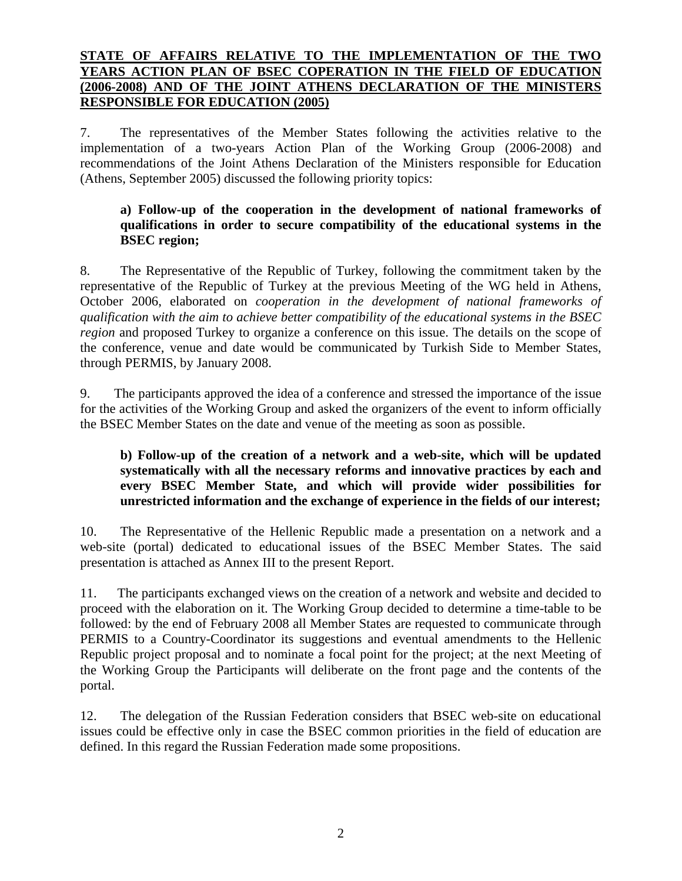## **STATE OF AFFAIRS RELATIVE TO THE IMPLEMENTATION OF THE TWO YEARS ACTION PLAN OF BSEC COPERATION IN THE FIELD OF EDUCATION (2006-2008) AND OF THE JOINT ATHENS DECLARATION OF THE MINISTERS RESPONSIBLE FOR EDUCATION (2005)**

7. The representatives of the Member States following the activities relative to the implementation of a two-years Action Plan of the Working Group (2006-2008) and recommendations of the Joint Athens Declaration of the Ministers responsible for Education (Athens, September 2005) discussed the following priority topics:

#### **a) Follow-up of the cooperation in the development of national frameworks of qualifications in order to secure compatibility of the educational systems in the BSEC region;**

8. The Representative of the Republic of Turkey, following the commitment taken by the representative of the Republic of Turkey at the previous Meeting of the WG held in Athens, October 2006, elaborated on *cooperation in the development of national frameworks of qualification with the aim to achieve better compatibility of the educational systems in the BSEC region* and proposed Turkey to organize a conference on this issue. The details on the scope of the conference, venue and date would be communicated by Turkish Side to Member States, through PERMIS, by January 2008.

9. The participants approved the idea of a conference and stressed the importance of the issue for the activities of the Working Group and asked the organizers of the event to inform officially the BSEC Member States on the date and venue of the meeting as soon as possible.

## **b) Follow-up of the creation of a network and a web-site, which will be updated systematically with all the necessary reforms and innovative practices by each and every BSEC Member State, and which will provide wider possibilities for unrestricted information and the exchange of experience in the fields of our interest;**

10. The Representative of the Hellenic Republic made a presentation on a network and a web-site (portal) dedicated to educational issues of the BSEC Member States. The said presentation is attached as Annex III to the present Report.

11. The participants exchanged views on the creation of a network and website and decided to proceed with the elaboration on it. The Working Group decided to determine a time-table to be followed: by the end of February 2008 all Member States are requested to communicate through PERMIS to a Country-Coordinator its suggestions and eventual amendments to the Hellenic Republic project proposal and to nominate a focal point for the project; at the next Meeting of the Working Group the Participants will deliberate on the front page and the contents of the portal.

12. The delegation of the Russian Federation considers that BSEC web-site on educational issues could be effective only in case the BSEC common priorities in the field of education are defined. In this regard the Russian Federation made some propositions.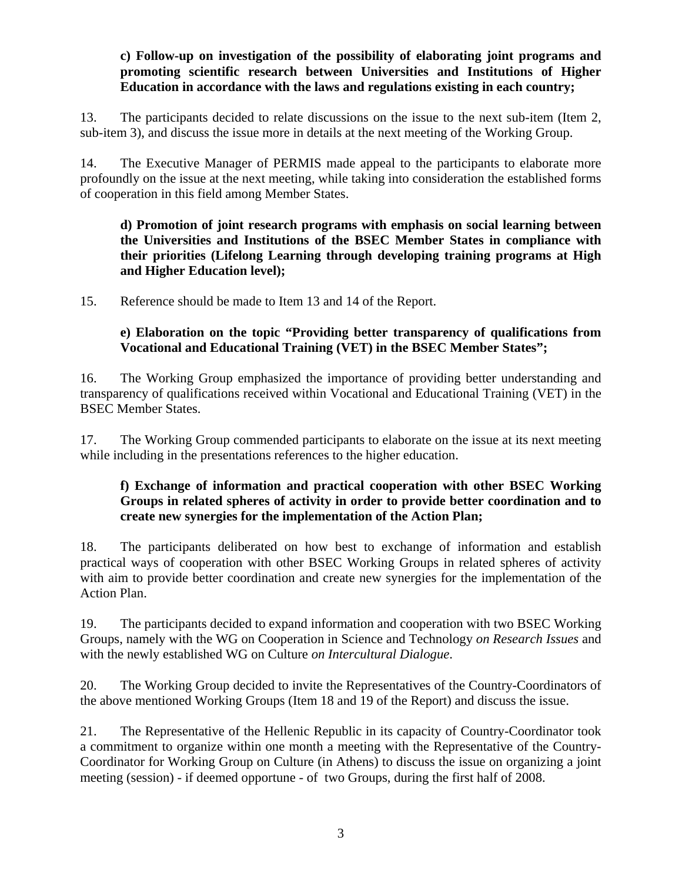## **c) Follow-up on investigation of the possibility of elaborating joint programs and promoting scientific research between Universities and Institutions of Higher Education in accordance with the laws and regulations existing in each country;**

13. The participants decided to relate discussions on the issue to the next sub-item (Item 2, sub-item 3), and discuss the issue more in details at the next meeting of the Working Group.

14. The Executive Manager of PERMIS made appeal to the participants to elaborate more profoundly on the issue at the next meeting, while taking into consideration the established forms of cooperation in this field among Member States.

**d) Promotion of joint research programs with emphasis on social learning between the Universities and Institutions of the BSEC Member States in compliance with their priorities (Lifelong Learning through developing training programs at High and Higher Education level);** 

15. Reference should be made to Item 13 and 14 of the Report.

## **e) Elaboration on the topic "Providing better transparency of qualifications from Vocational and Educational Training (VET) in the BSEC Member States";**

16. The Working Group emphasized the importance of providing better understanding and transparency of qualifications received within Vocational and Educational Training (VET) in the BSEC Member States.

17. The Working Group commended participants to elaborate on the issue at its next meeting while including in the presentations references to the higher education.

## **f) Exchange of information and practical cooperation with other BSEC Working Groups in related spheres of activity in order to provide better coordination and to create new synergies for the implementation of the Action Plan;**

18. The participants deliberated on how best to exchange of information and establish practical ways of cooperation with other BSEC Working Groups in related spheres of activity with aim to provide better coordination and create new synergies for the implementation of the Action Plan.

19. The participants decided to expand information and cooperation with two BSEC Working Groups, namely with the WG on Cooperation in Science and Technology *on Research Issues* and with the newly established WG on Culture *on Intercultural Dialogue*.

20. The Working Group decided to invite the Representatives of the Country-Coordinators of the above mentioned Working Groups (Item 18 and 19 of the Report) and discuss the issue.

21. The Representative of the Hellenic Republic in its capacity of Country-Coordinator took a commitment to organize within one month a meeting with the Representative of the Country-Coordinator for Working Group on Culture (in Athens) to discuss the issue on organizing a joint meeting (session) - if deemed opportune - of two Groups, during the first half of 2008.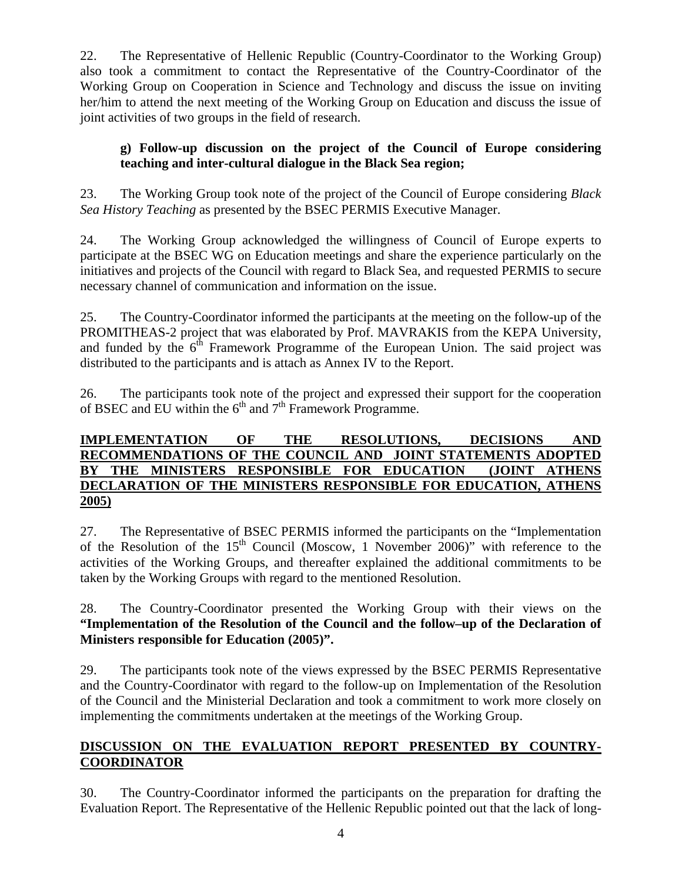22. The Representative of Hellenic Republic (Country-Coordinator to the Working Group) also took a commitment to contact the Representative of the Country-Coordinator of the Working Group on Cooperation in Science and Technology and discuss the issue on inviting her/him to attend the next meeting of the Working Group on Education and discuss the issue of joint activities of two groups in the field of research.

## **g) Follow-up discussion on the project of the Council of Europe considering teaching and inter-cultural dialogue in the Black Sea region;**

23. The Working Group took note of the project of the Council of Europe considering *Black Sea History Teaching* as presented by the BSEC PERMIS Executive Manager.

24. The Working Group acknowledged the willingness of Council of Europe experts to participate at the BSEC WG on Education meetings and share the experience particularly on the initiatives and projects of the Council with regard to Black Sea, and requested PERMIS to secure necessary channel of communication and information on the issue.

25. The Country-Coordinator informed the participants at the meeting on the follow-up of the PROMITHEAS-2 project that was elaborated by Prof. MAVRAKIS from the KEPA University, and funded by the  $6<sup>th</sup>$  Framework Programme of the European Union. The said project was distributed to the participants and is attach as Annex IV to the Report.

26. The participants took note of the project and expressed their support for the cooperation of BSEC and EU within the  $6<sup>th</sup>$  and  $7<sup>th</sup>$  Framework Programme.

## **IMPLEMENTATION OF THE RESOLUTIONS, DECISIONS AND RECOMMENDATIONS OF THE COUNCIL AND JOINT STATEMENTS ADOPTED BY THE MINISTERS RESPONSIBLE FOR EDUCATION (JOINT ATHENS DECLARATION OF THE MINISTERS RESPONSIBLE FOR EDUCATION, ATHENS 2005)**

27. The Representative of BSEC PERMIS informed the participants on the "Implementation of the Resolution of the  $15<sup>th</sup>$  Council (Moscow, 1 November 2006)" with reference to the activities of the Working Groups, and thereafter explained the additional commitments to be taken by the Working Groups with regard to the mentioned Resolution.

28. The Country-Coordinator presented the Working Group with their views on the **"Implementation of the Resolution of the Council and the follow–up of the Declaration of Ministers responsible for Education (2005)".**

29. The participants took note of the views expressed by the BSEC PERMIS Representative and the Country-Coordinator with regard to the follow-up on Implementation of the Resolution of the Council and the Ministerial Declaration and took a commitment to work more closely on implementing the commitments undertaken at the meetings of the Working Group.

# **DISCUSSION ON THE EVALUATION REPORT PRESENTED BY COUNTRY-COORDINATOR**

30. The Country-Coordinator informed the participants on the preparation for drafting the Evaluation Report. The Representative of the Hellenic Republic pointed out that the lack of long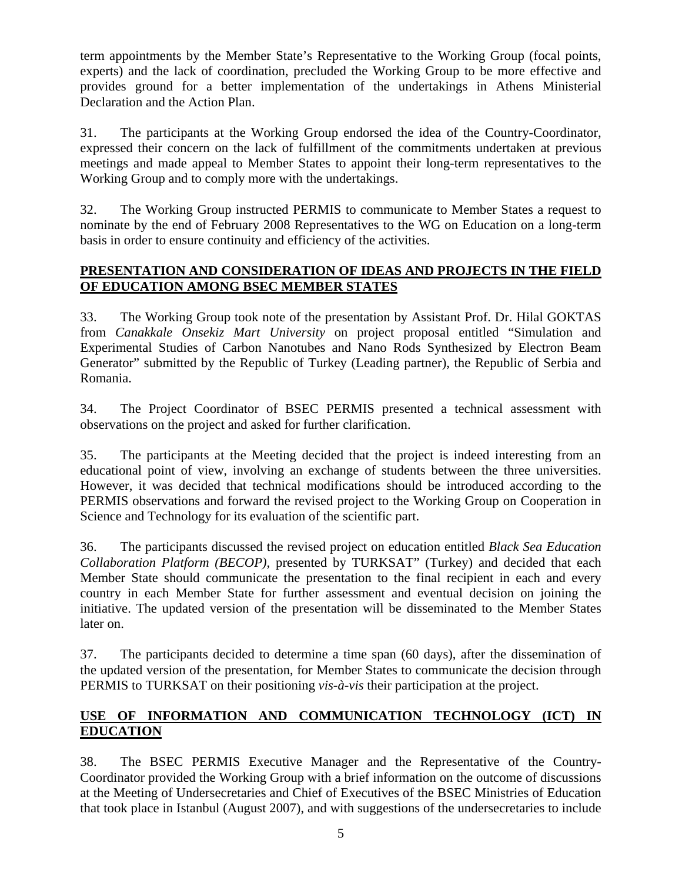term appointments by the Member State's Representative to the Working Group (focal points, experts) and the lack of coordination, precluded the Working Group to be more effective and provides ground for a better implementation of the undertakings in Athens Ministerial Declaration and the Action Plan.

31. The participants at the Working Group endorsed the idea of the Country-Coordinator, expressed their concern on the lack of fulfillment of the commitments undertaken at previous meetings and made appeal to Member States to appoint their long-term representatives to the Working Group and to comply more with the undertakings.

32. The Working Group instructed PERMIS to communicate to Member States a request to nominate by the end of February 2008 Representatives to the WG on Education on a long-term basis in order to ensure continuity and efficiency of the activities.

## **PRESENTATION AND CONSIDERATION OF IDEAS AND PROJECTS IN THE FIELD OF EDUCATION AMONG BSEC MEMBER STATES**

33. The Working Group took note of the presentation by Assistant Prof. Dr. Hilal GOKTAS from *Canakkale Onsekiz Mart University* on project proposal entitled "Simulation and Experimental Studies of Carbon Nanotubes and Nano Rods Synthesized by Electron Beam Generator" submitted by the Republic of Turkey (Leading partner), the Republic of Serbia and Romania.

34. The Project Coordinator of BSEC PERMIS presented a technical assessment with observations on the project and asked for further clarification.

35. The participants at the Meeting decided that the project is indeed interesting from an educational point of view, involving an exchange of students between the three universities. However, it was decided that technical modifications should be introduced according to the PERMIS observations and forward the revised project to the Working Group on Cooperation in Science and Technology for its evaluation of the scientific part.

36. The participants discussed the revised project on education entitled *Black Sea Education Collaboration Platform (BECOP),* presented by TURKSAT" (Turkey) and decided that each Member State should communicate the presentation to the final recipient in each and every country in each Member State for further assessment and eventual decision on joining the initiative. The updated version of the presentation will be disseminated to the Member States later on.

37. The participants decided to determine a time span (60 days), after the dissemination of the updated version of the presentation, for Member States to communicate the decision through PERMIS to TURKSAT on their positioning *vis-à-vis* their participation at the project.

# **USE OF INFORMATION AND COMMUNICATION TECHNOLOGY (ICT) IN EDUCATION**

38. The BSEC PERMIS Executive Manager and the Representative of the Country-Coordinator provided the Working Group with a brief information on the outcome of discussions at the Meeting of Undersecretaries and Chief of Executives of the BSEC Ministries of Education that took place in Istanbul (August 2007), and with suggestions of the undersecretaries to include